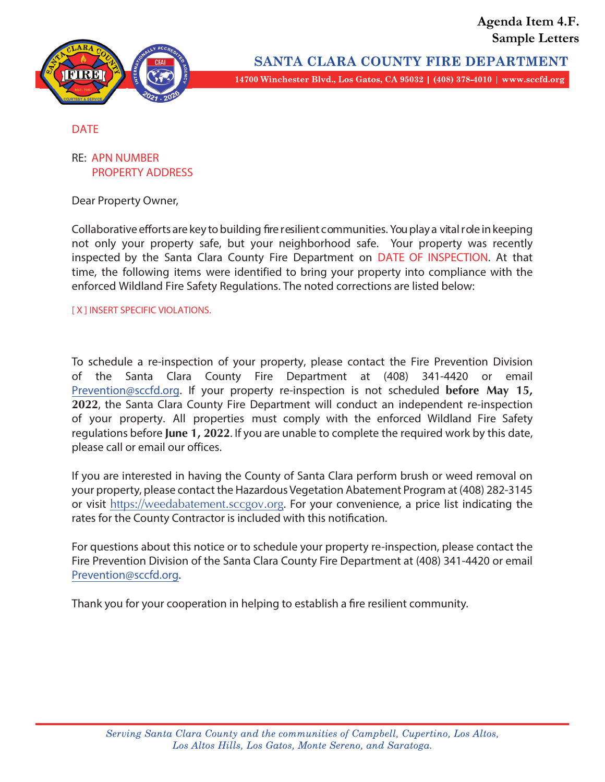



SANTA CLARA COUNTY FIRE DEPARTMENT 14700 Winchester Blvd., Los Gatos, CA 95032 | (408) 378-4010 | www.sccfd.org

#### DATE

#### RE: APN NUMBER PROPERTY ADDRESS

Dear Property Owner,

Collaborative efforts are key to building fire resilient communities. You play a vital role in keeping not only your property safe, but your neighborhood safe. Your property was recently inspected by the Santa Clara County Fire Department on DATE OF INSPECTION. At that time, the following items were identified to bring your property into compliance with the enforced Wildland Fire Safety Regulations. The noted corrections are listed below:

[ X ] INSERT SPECIFIC VIOLATIONS.

To schedule a re-inspection of your property, please contact the Fire Prevention Division of the Santa Clara County Fire Department at (408) 341-4420 or email Prevention@sccfd.org. If your property re-inspection is not scheduled **before May 15, 2022**, the Santa Clara County Fire Department will conduct an independent re-inspection of your property. All properties must comply with the enforced Wildland Fire Safety regulations before **June 1, 2022**. If you are unable to complete the required work by this date, please call or email our offices.

If you are interested in having the County of Santa Clara perform brush or weed removal on your property, please contact the Hazardous Vegetation Abatement Program at (408) 282-3145 or visit https://weedabatement.sccgov.org. For your convenience, a price list indicating the rates for the County Contractor is included with this notification.

For questions about this notice or to schedule your property re-inspection, please contact the Fire Prevention Division of the Santa Clara County Fire Department at (408) 341-4420 or email Prevention@sccfd.org.

Thank you for your cooperation in helping to establish a fire resilient community.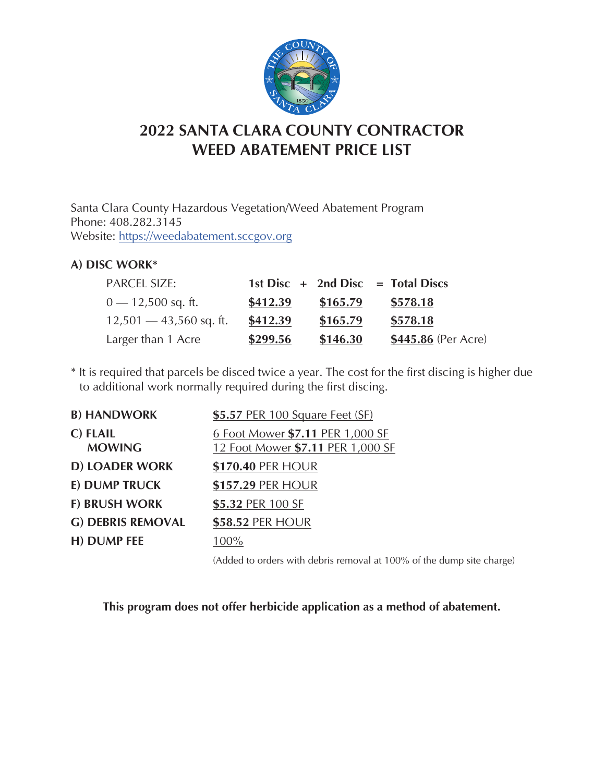

# **2022 SANTA CLARA COUNTY CONTRACTOR WEED ABATEMENT PRICE LIST**

Santa Clara County Hazardous Vegetation/Weed Abatement Program Phone: 408.282.3145 Website: https://weedabatement.sccgov.org

### **A) DISC WORK\***

| <b>PARCEL SIZE:</b>       |          |          | 1st Disc $+$ 2nd Disc $=$ Total Discs |
|---------------------------|----------|----------|---------------------------------------|
| $0 - 12,500$ sq. ft.      | \$412.39 | \$165.79 | \$578.18                              |
| $12,501 - 43,560$ sq. ft. | \$412.39 | \$165.79 | \$578.18                              |
| Larger than 1 Acre        | \$299.56 | \$146.30 | \$445.86 (Per Acre)                   |

\* It is required that parcels be disced twice a year. The cost for the first discing is higher due to additional work normally required during the first discing.

| <b>B) HANDWORK</b>        | \$5.57 PER 100 Square Feet (SF)                                       |
|---------------------------|-----------------------------------------------------------------------|
| C) FLAIL<br><b>MOWING</b> | 6 Foot Mower \$7.11 PER 1,000 SF<br>12 Foot Mower \$7.11 PER 1,000 SF |
| <b>D) LOADER WORK</b>     | \$170.40 PER HOUR                                                     |
| E) DUMP TRUCK             | \$157.29 PER HOUR                                                     |
| <b>F) BRUSH WORK</b>      | \$5.32 PER 100 SF                                                     |
| <b>G) DEBRIS REMOVAL</b>  | \$58.52 PER HOUR                                                      |
| H) DUMP FEE               | $100\%$                                                               |

(Added to orders with debris removal at 100% of the dump site charge)

**This program does not offer herbicide application as a method of abatement.**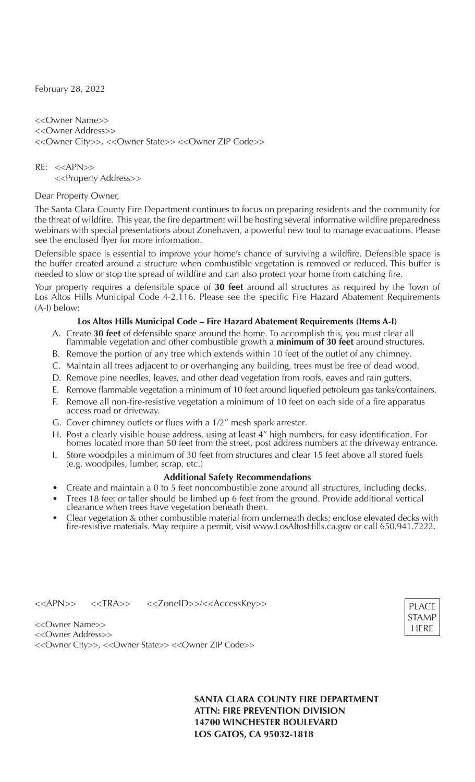February 28, 2022

<<Owner Name>> <<Owner Address>> <<Owner City>>, <<Owner State>> <<Owner ZIP Code>>

 $RF: < >$ <<Property Address>>

Dear Property Owner,

The Santa Clara County Fire Department continues to focus on preparing residents and the community for the threat of wildfire. This year, the fire department will be hosting several informative wildfire preparedness webinars with special presentations about Zonehaven, a powerful new tool to manage evacuations. Please see the enclosed flyer for more information.

Defensible space is essential to improve your home's chance of surviving a wildfire. Defensible space is the buffer created around a structure when combustible vegetation is removed or reduced. This buffer is needed to slow or stop the spread of wildfire and can also protect your home from catching fire.

Your property requires a defensible space of **30 feet** around all structures as required by the Town of Los Altos Hills Municipal Code 4-2.116. Please see the specific Fire Hazard Abatement Requirements (A-I) below:

#### **Los Altos Hills Municipal Code – Fire Hazard Abatement Requirements (Items A-I)**

- A. Create **30 feet** of defensible space around the home. To accomplish this, you must clear all flammable vegetation and other combustible growth a **minimum of 30 feet** around structures.
- B. Remove the portion of any tree which extends within 10 feet of the outlet of any chimney.
- C. Maintain all trees adjacent to or overhanging any building, trees must be free of dead wood.
- D. Remove pine needles, leaves, and other dead vegetation from roofs, eaves and rain gutters.
- E. Remove flammable vegetation a minimum of 10 feet around liquefied petroleum gas tanks/containers.
- F. Remove all non-fire-resistive vegetation a minimum of 10 feet on each side of a fire apparatus access road or driveway.
- G. Cover chimney outlets or flues with a 1/2" mesh spark arrester.
- H. Post a clearly visible house address, using at least 4" high numbers, for easy identification. For homes located more than 50 feet from the street, post address numbers at the driveway entrance.
- I. Store woodpiles a minimum of 30 feet from structures and clear 15 feet above all stored fuels (e.g. woodpiles, lumber, scrap, etc.)

#### **Additional Safety Recommendations**

- Create and maintain a 0 to 5 feet noncombustible zone around all structures, including decks.
- Trees 18 feet or taller should be limbed up 6 feet from the ground. Provide additional vertical clearance when trees have vegetation beneath them.
- Clear vegetation & other combustible material from underneath decks; enclose elevated decks with fire-resistive materials. May require a permit, visit www.LosAltosHills.ca.gov or call 650.941.7222.

<<APN>> <<TRA>> <<ZoneID>>/<<AccessKey>>



<<Owner Name>> <<Owner Address>> <<Owner City>>, <<Owner State>> <<Owner ZIP Code>>

> **SANTA CLARA COUNTY FIRE DEPARTMENT ATTN: FIRE PREVENTION DIVISION 14700 WINCHESTER BOULEVARD LOS GATOS, CA 95032-1818**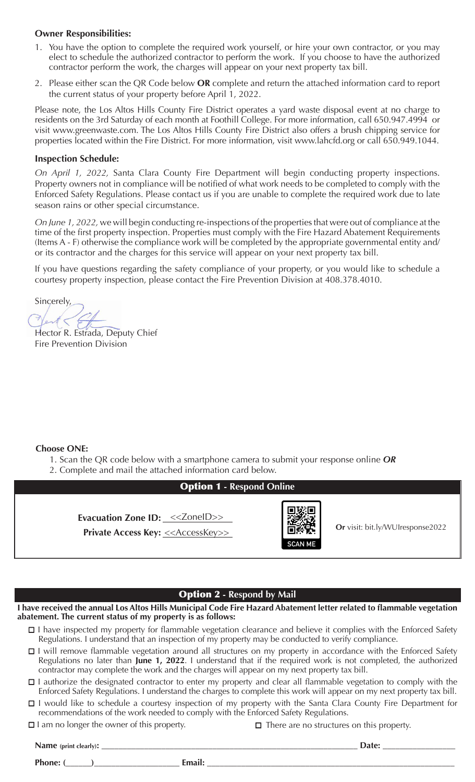#### **Owner Responsibilities:**

- 1. You have the option to complete the required work yourself, or hire your own contractor, or you may elect to schedule the authorized contractor to perform the work. If you choose to have the authorized contractor perform the work, the charges will appear on your next property tax bill.
- 2. Please either scan the QR Code below **OR** complete and return the attached information card to report the current status of your property before April 1, 2022.

Please note, the Los Altos Hills County Fire District operates a yard waste disposal event at no charge to residents on the 3rd Saturday of each month at Foothill College. For more information, call 650.947.4994 or visit www.greenwaste.com. The Los Altos Hills County Fire District also offers a brush chipping service for properties located within the Fire District. For more information, visit www.lahcfd.org or call 650.949.1044.

#### **Inspection Schedule:**

*On April 1, 2022,* Santa Clara County Fire Department will begin conducting property inspections. Property owners not in compliance will be notified of what work needs to be completed to comply with the Enforced Safety Regulations. Please contact us if you are unable to complete the required work due to late season rains or other special circumstance.

*On June 1, 2022,* we will begin conducting re-inspections of the properties that were out of compliance at the time of the first property inspection. Properties must comply with the Fire Hazard Abatement Requirements (Items A - F) otherwise the compliance work will be completed by the appropriate governmental entity and/ or its contractor and the charges for this service will appear on your next property tax bill.

If you have questions regarding the safety compliance of your property, or you would like to schedule a courtesy property inspection, please contact the Fire Prevention Division at 408.378.4010.

Sincerely,

Hector R. Estrada, Deputy Chief Fire Prevention Division

#### **Choose ONE:**

- 1. Scan the QR code below with a smartphone camera to submit your response online *OR*
- 2. Complete and mail the attached information card below.

## Option 1 **- Respond Online**

Evacuation Zone ID: <<<**ZoneID>>>** 

**Private Access Key:**  $\leq$  AccessKey>>  $\blacksquare$  **Or** visit: bit.ly/WUIresponse2022



#### Option 2 **- Respond by Mail**

**I have received the annual Los Altos Hills Municipal Code Fire Hazard Abatement letter related to flammable vegetation abatement. The current status of my property is as follows:**

- □ I have inspected my property for flammable vegetation clearance and believe it complies with the Enforced Safety Regulations. I understand that an inspection of my property may be conducted to verify compliance.
- □ I will remove flammable vegetation around all structures on my property in accordance with the Enforced Safety Regulations no later than June 1, 2022. I understand that if the required work is not completed, the authorized contractor may complete the work and the charges will appear on my next property tax bill.
- □ I authorize the designated contractor to enter my property and clear all flammable vegetation to comply with the Enforced Safety Regulations. I understand the charges to complete this work will appear on my next property tax bill.
- □ I would like to schedule a courtesy inspection of my property with the Santa Clara County Fire Department for recommendations of the work needed to comply with the Enforced Safety Regulations.
- $\square$  I am no longer the owner of this property.

 $\Box$  There are no structures on this property.

| Name (print clearly): | <b>Date:</b> |  |
|-----------------------|--------------|--|
| Phone: (              | Email:       |  |